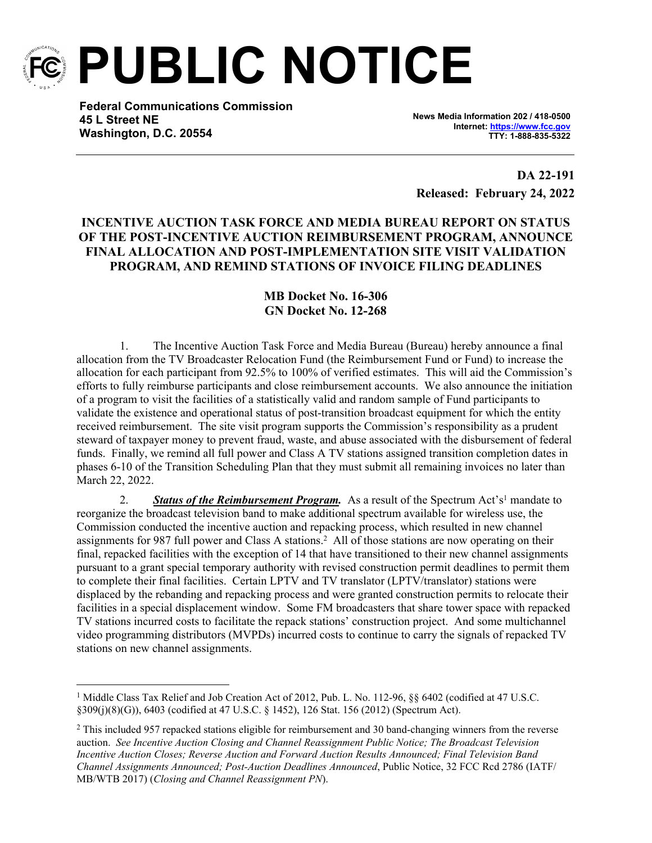

**PUBLIC NOTICE**

**Federal Communications Commission 45 L Street NE Washington, D.C. 20554**

**News Media Information 202 / 418-0500 Internet:<https://www.fcc.gov> TTY: 1-888-835-5322**

**DA 22-191 Released: February 24, 2022**

## **INCENTIVE AUCTION TASK FORCE AND MEDIA BUREAU REPORT ON STATUS OF THE POST-INCENTIVE AUCTION REIMBURSEMENT PROGRAM, ANNOUNCE FINAL ALLOCATION AND POST-IMPLEMENTATION SITE VISIT VALIDATION PROGRAM, AND REMIND STATIONS OF INVOICE FILING DEADLINES**

## **MB Docket No. 16-306 GN Docket No. 12-268**

1. The Incentive Auction Task Force and Media Bureau (Bureau) hereby announce a final allocation from the TV Broadcaster Relocation Fund (the Reimbursement Fund or Fund) to increase the allocation for each participant from 92.5% to 100% of verified estimates. This will aid the Commission's efforts to fully reimburse participants and close reimbursement accounts. We also announce the initiation of a program to visit the facilities of a statistically valid and random sample of Fund participants to validate the existence and operational status of post-transition broadcast equipment for which the entity received reimbursement. The site visit program supports the Commission's responsibility as a prudent steward of taxpayer money to prevent fraud, waste, and abuse associated with the disbursement of federal funds. Finally, we remind all full power and Class A TV stations assigned transition completion dates in phases 6-10 of the Transition Scheduling Plan that they must submit all remaining invoices no later than March 22, 2022.

2. **Status of the Reimbursement Program.** As a result of the Spectrum Act's<sup>1</sup> mandate to reorganize the broadcast television band to make additional spectrum available for wireless use, the Commission conducted the incentive auction and repacking process, which resulted in new channel assignments for 987 full power and Class A stations.<sup>2</sup> All of those stations are now operating on their final, repacked facilities with the exception of 14 that have transitioned to their new channel assignments pursuant to a grant special temporary authority with revised construction permit deadlines to permit them to complete their final facilities. Certain LPTV and TV translator (LPTV/translator) stations were displaced by the rebanding and repacking process and were granted construction permits to relocate their facilities in a special displacement window. Some FM broadcasters that share tower space with repacked TV stations incurred costs to facilitate the repack stations' construction project. And some multichannel video programming distributors (MVPDs) incurred costs to continue to carry the signals of repacked TV stations on new channel assignments.

<sup>&</sup>lt;sup>1</sup> Middle Class Tax Relief and Job Creation Act of 2012, Pub. L. No. 112-96, §§ 6402 (codified at 47 U.S.C. §309(j)(8)(G)), 6403 (codified at 47 U.S.C. § 1452), 126 Stat. 156 (2012) (Spectrum Act).

<sup>&</sup>lt;sup>2</sup> This included 957 repacked stations eligible for reimbursement and 30 band-changing winners from the reverse auction. *See Incentive Auction Closing and Channel Reassignment Public Notice; The Broadcast Television Incentive Auction Closes; Reverse Auction and Forward Auction Results Announced; Final Television Band Channel Assignments Announced; Post-Auction Deadlines Announced*, Public Notice, 32 FCC Rcd 2786 (IATF/ MB/WTB 2017) (*Closing and Channel Reassignment PN*).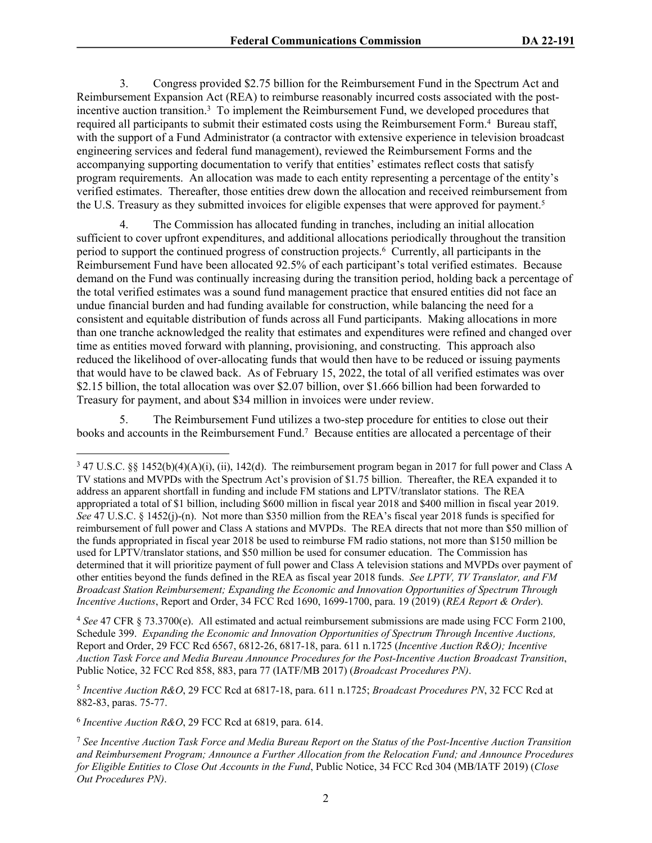3. Congress provided \$2.75 billion for the Reimbursement Fund in the Spectrum Act and Reimbursement Expansion Act (REA) to reimburse reasonably incurred costs associated with the postincentive auction transition.<sup>3</sup> To implement the Reimbursement Fund, we developed procedures that required all participants to submit their estimated costs using the Reimbursement Form.<sup>4</sup> Bureau staff, with the support of a Fund Administrator (a contractor with extensive experience in television broadcast engineering services and federal fund management), reviewed the Reimbursement Forms and the accompanying supporting documentation to verify that entities' estimates reflect costs that satisfy program requirements. An allocation was made to each entity representing a percentage of the entity's verified estimates. Thereafter, those entities drew down the allocation and received reimbursement from the U.S. Treasury as they submitted invoices for eligible expenses that were approved for payment.<sup>5</sup>

4. The Commission has allocated funding in tranches, including an initial allocation sufficient to cover upfront expenditures, and additional allocations periodically throughout the transition period to support the continued progress of construction projects.<sup>6</sup> Currently, all participants in the Reimbursement Fund have been allocated 92.5% of each participant's total verified estimates. Because demand on the Fund was continually increasing during the transition period, holding back a percentage of the total verified estimates was a sound fund management practice that ensured entities did not face an undue financial burden and had funding available for construction, while balancing the need for a consistent and equitable distribution of funds across all Fund participants. Making allocations in more than one tranche acknowledged the reality that estimates and expenditures were refined and changed over time as entities moved forward with planning, provisioning, and constructing. This approach also reduced the likelihood of over-allocating funds that would then have to be reduced or issuing payments that would have to be clawed back. As of February 15, 2022, the total of all verified estimates was over \$2.15 billion, the total allocation was over \$2.07 billion, over \$1.666 billion had been forwarded to Treasury for payment, and about \$34 million in invoices were under review.

5. The Reimbursement Fund utilizes a two-step procedure for entities to close out their books and accounts in the Reimbursement Fund.<sup>7</sup> Because entities are allocated a percentage of their

<sup>4</sup> *See* 47 CFR § 73.3700(e). All estimated and actual reimbursement submissions are made using FCC Form 2100, Schedule 399. *Expanding the Economic and Innovation Opportunities of Spectrum Through Incentive Auctions,*  Report and Order, 29 FCC Rcd 6567, 6812-26, 6817-18, para. 611 n.1725 (*Incentive Auction R&O); Incentive Auction Task Force and Media Bureau Announce Procedures for the Post-Incentive Auction Broadcast Transition*, Public Notice, 32 FCC Rcd 858, 883, para 77 (IATF/MB 2017) (*Broadcast Procedures PN)*.

5 *Incentive Auction R&O*, 29 FCC Rcd at 6817-18, para. 611 n.1725; *Broadcast Procedures PN*, 32 FCC Rcd at 882-83, paras. 75-77.

6 *Incentive Auction R&O*, 29 FCC Rcd at 6819, para. 614.

 $347$  U.S.C. §§ 1452(b)(4)(A)(i), (ii), 142(d). The reimbursement program began in 2017 for full power and Class A TV stations and MVPDs with the Spectrum Act's provision of \$1.75 billion. Thereafter, the REA expanded it to address an apparent shortfall in funding and include FM stations and LPTV/translator stations. The REA appropriated a total of \$1 billion, including \$600 million in fiscal year 2018 and \$400 million in fiscal year 2019. *See* 47 U.S.C. § 1452(j)-(n). Not more than \$350 million from the REA's fiscal year 2018 funds is specified for reimbursement of full power and Class A stations and MVPDs. The REA directs that not more than \$50 million of the funds appropriated in fiscal year 2018 be used to reimburse FM radio stations, not more than \$150 million be used for LPTV/translator stations, and \$50 million be used for consumer education. The Commission has determined that it will prioritize payment of full power and Class A television stations and MVPDs over payment of other entities beyond the funds defined in the REA as fiscal year 2018 funds. *See LPTV, TV Translator, and FM Broadcast Station Reimbursement; Expanding the Economic and Innovation Opportunities of Spectrum Through Incentive Auctions*, Report and Order, 34 FCC Rcd 1690, 1699-1700, para. 19 (2019) (*REA Report & Order*).

<sup>7</sup> *See Incentive Auction Task Force and Media Bureau Report on the Status of the Post-Incentive Auction Transition and Reimbursement Program; Announce a Further Allocation from the Relocation Fund; and Announce Procedures for Eligible Entities to Close Out Accounts in the Fund*, Public Notice, 34 FCC Rcd 304 (MB/IATF 2019) (*Close Out Procedures PN)*.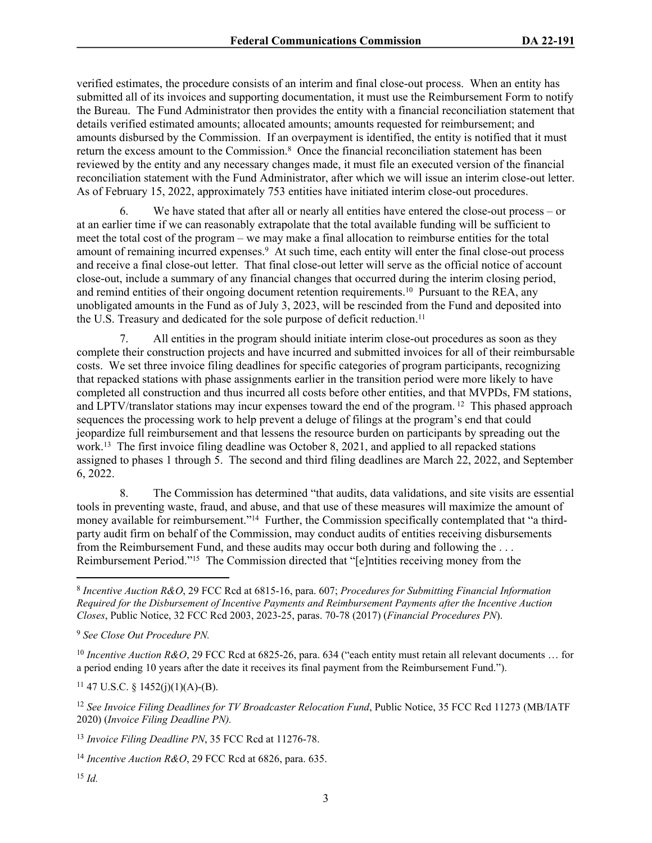verified estimates, the procedure consists of an interim and final close-out process. When an entity has submitted all of its invoices and supporting documentation, it must use the Reimbursement Form to notify the Bureau. The Fund Administrator then provides the entity with a financial reconciliation statement that details verified estimated amounts; allocated amounts; amounts requested for reimbursement; and amounts disbursed by the Commission. If an overpayment is identified, the entity is notified that it must return the excess amount to the Commission.<sup>8</sup> Once the financial reconciliation statement has been reviewed by the entity and any necessary changes made, it must file an executed version of the financial reconciliation statement with the Fund Administrator, after which we will issue an interim close-out letter. As of February 15, 2022, approximately 753 entities have initiated interim close-out procedures.

6. We have stated that after all or nearly all entities have entered the close-out process – or at an earlier time if we can reasonably extrapolate that the total available funding will be sufficient to meet the total cost of the program – we may make a final allocation to reimburse entities for the total amount of remaining incurred expenses.<sup>9</sup> At such time, each entity will enter the final close-out process and receive a final close-out letter. That final close-out letter will serve as the official notice of account close-out, include a summary of any financial changes that occurred during the interim closing period, and remind entities of their ongoing document retention requirements.<sup>10</sup> Pursuant to the REA, any unobligated amounts in the Fund as of July 3, 2023, will be rescinded from the Fund and deposited into the U.S. Treasury and dedicated for the sole purpose of deficit reduction.<sup>11</sup>

7. All entities in the program should initiate interim close-out procedures as soon as they complete their construction projects and have incurred and submitted invoices for all of their reimbursable costs. We set three invoice filing deadlines for specific categories of program participants, recognizing that repacked stations with phase assignments earlier in the transition period were more likely to have completed all construction and thus incurred all costs before other entities, and that MVPDs, FM stations, and LPTV/translator stations may incur expenses toward the end of the program.<sup>12</sup> This phased approach sequences the processing work to help prevent a deluge of filings at the program's end that could jeopardize full reimbursement and that lessens the resource burden on participants by spreading out the work.<sup>13</sup> The first invoice filing deadline was October 8, 2021, and applied to all repacked stations assigned to phases 1 through 5. The second and third filing deadlines are March 22, 2022, and September 6, 2022.

8. The Commission has determined "that audits, data validations, and site visits are essential tools in preventing waste, fraud, and abuse, and that use of these measures will maximize the amount of money available for reimbursement."<sup>14</sup> Further, the Commission specifically contemplated that "a thirdparty audit firm on behalf of the Commission, may conduct audits of entities receiving disbursements from the Reimbursement Fund, and these audits may occur both during and following the . . . Reimbursement Period."<sup>15</sup> The Commission directed that "[e]ntities receiving money from the

 $11$  47 U.S.C. § 1452(j)(1)(A)-(B).

<sup>15</sup> *Id.*

<sup>8</sup> *Incentive Auction R&O*, 29 FCC Rcd at 6815-16, para. 607; *Procedures for Submitting Financial Information Required for the Disbursement of Incentive Payments and Reimbursement Payments after the Incentive Auction Closes*, Public Notice, 32 FCC Rcd 2003, 2023-25, paras. 70-78 (2017) (*Financial Procedures PN*).

<sup>9</sup> *See Close Out Procedure PN.*

<sup>10</sup> *Incentive Auction R&O*, 29 FCC Rcd at 6825-26, para. 634 ("each entity must retain all relevant documents … for a period ending 10 years after the date it receives its final payment from the Reimbursement Fund.").

<sup>&</sup>lt;sup>12</sup> See Invoice Filing Deadlines for TV Broadcaster Relocation Fund, Public Notice, 35 FCC Rcd 11273 (MB/IATF 2020) (*Invoice Filing Deadline PN).*

<sup>13</sup> *Invoice Filing Deadline PN*, 35 FCC Rcd at 11276-78.

<sup>14</sup> *Incentive Auction R&O*, 29 FCC Rcd at 6826, para. 635.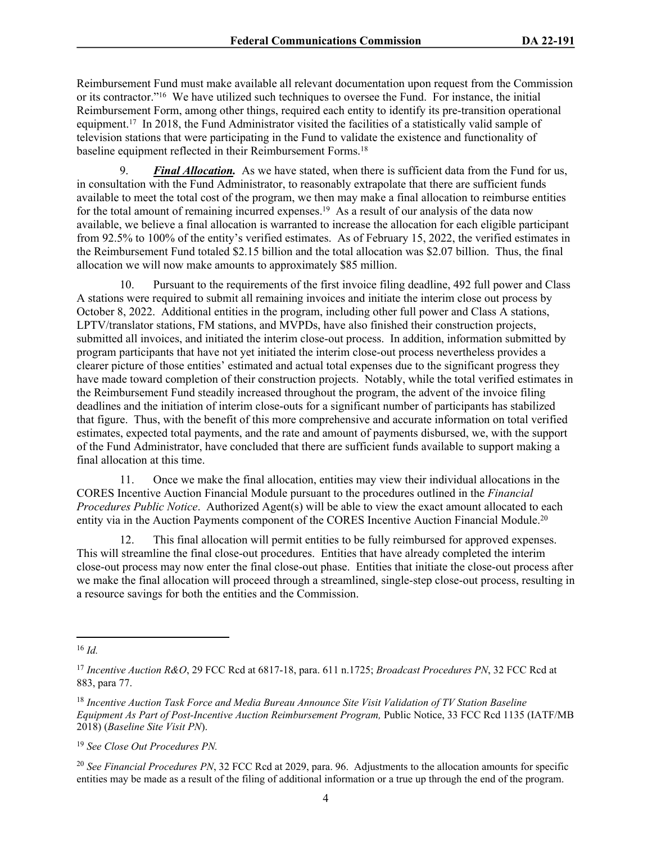Reimbursement Fund must make available all relevant documentation upon request from the Commission or its contractor."<sup>16</sup> We have utilized such techniques to oversee the Fund. For instance, the initial Reimbursement Form, among other things, required each entity to identify its pre-transition operational equipment.<sup>17</sup> In 2018, the Fund Administrator visited the facilities of a statistically valid sample of television stations that were participating in the Fund to validate the existence and functionality of baseline equipment reflected in their Reimbursement Forms.<sup>18</sup>

9. *Final Allocation.* As we have stated, when there is sufficient data from the Fund for us, in consultation with the Fund Administrator, to reasonably extrapolate that there are sufficient funds available to meet the total cost of the program, we then may make a final allocation to reimburse entities for the total amount of remaining incurred expenses.<sup>19</sup> As a result of our analysis of the data now available, we believe a final allocation is warranted to increase the allocation for each eligible participant from 92.5% to 100% of the entity's verified estimates. As of February 15, 2022, the verified estimates in the Reimbursement Fund totaled \$2.15 billion and the total allocation was \$2.07 billion. Thus, the final allocation we will now make amounts to approximately \$85 million.

10. Pursuant to the requirements of the first invoice filing deadline, 492 full power and Class A stations were required to submit all remaining invoices and initiate the interim close out process by October 8, 2022. Additional entities in the program, including other full power and Class A stations, LPTV/translator stations, FM stations, and MVPDs, have also finished their construction projects, submitted all invoices, and initiated the interim close-out process. In addition, information submitted by program participants that have not yet initiated the interim close-out process nevertheless provides a clearer picture of those entities' estimated and actual total expenses due to the significant progress they have made toward completion of their construction projects. Notably, while the total verified estimates in the Reimbursement Fund steadily increased throughout the program, the advent of the invoice filing deadlines and the initiation of interim close-outs for a significant number of participants has stabilized that figure. Thus, with the benefit of this more comprehensive and accurate information on total verified estimates, expected total payments, and the rate and amount of payments disbursed, we, with the support of the Fund Administrator, have concluded that there are sufficient funds available to support making a final allocation at this time.

11. Once we make the final allocation, entities may view their individual allocations in the CORES Incentive Auction Financial Module pursuant to the procedures outlined in the *Financial Procedures Public Notice*. Authorized Agent(s) will be able to view the exact amount allocated to each entity via in the Auction Payments component of the CORES Incentive Auction Financial Module.<sup>20</sup>

12. This final allocation will permit entities to be fully reimbursed for approved expenses. This will streamline the final close-out procedures. Entities that have already completed the interim close-out process may now enter the final close-out phase. Entities that initiate the close-out process after we make the final allocation will proceed through a streamlined, single-step close-out process, resulting in a resource savings for both the entities and the Commission.

<sup>16</sup> *Id.*

<sup>17</sup> *Incentive Auction R&O*, 29 FCC Rcd at 6817-18, para. 611 n.1725; *Broadcast Procedures PN*, 32 FCC Rcd at 883, para 77.

<sup>18</sup> *Incentive Auction Task Force and Media Bureau Announce Site Visit Validation of TV Station Baseline Equipment As Part of Post-Incentive Auction Reimbursement Program,* Public Notice, 33 FCC Rcd 1135 (IATF/MB 2018) (*Baseline Site Visit PN*).

<sup>19</sup> *See Close Out Procedures PN.*

<sup>20</sup> *See Financial Procedures PN*, 32 FCC Rcd at 2029, para. 96. Adjustments to the allocation amounts for specific entities may be made as a result of the filing of additional information or a true up through the end of the program.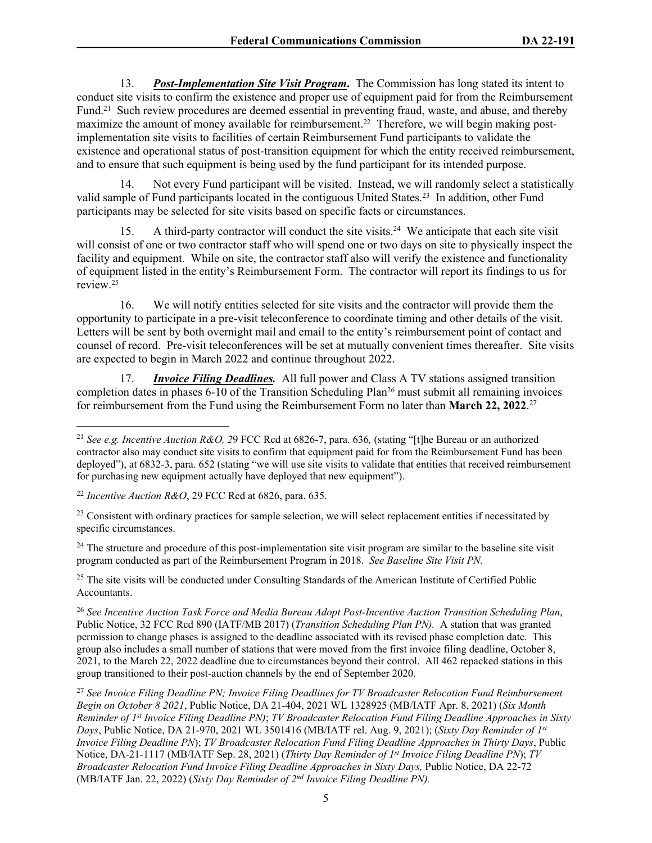13. *Post-Implementation Site Visit Program***.** The Commission has long stated its intent to conduct site visits to confirm the existence and proper use of equipment paid for from the Reimbursement Fund.<sup>21</sup> Such review procedures are deemed essential in preventing fraud, waste, and abuse, and thereby maximize the amount of money available for reimbursement.<sup>22</sup> Therefore, we will begin making postimplementation site visits to facilities of certain Reimbursement Fund participants to validate the existence and operational status of post-transition equipment for which the entity received reimbursement, and to ensure that such equipment is being used by the fund participant for its intended purpose.

14. Not every Fund participant will be visited. Instead, we will randomly select a statistically valid sample of Fund participants located in the contiguous United States.<sup>23</sup> In addition, other Fund participants may be selected for site visits based on specific facts or circumstances.

15. A third-party contractor will conduct the site visits.<sup>24</sup> We anticipate that each site visit will consist of one or two contractor staff who will spend one or two days on site to physically inspect the facility and equipment. While on site, the contractor staff also will verify the existence and functionality of equipment listed in the entity's Reimbursement Form. The contractor will report its findings to us for review<sup>25</sup>

16. We will notify entities selected for site visits and the contractor will provide them the opportunity to participate in a pre-visit teleconference to coordinate timing and other details of the visit. Letters will be sent by both overnight mail and email to the entity's reimbursement point of contact and counsel of record. Pre-visit teleconferences will be set at mutually convenient times thereafter. Site visits are expected to begin in March 2022 and continue throughout 2022.

17. *Invoice Filing Deadlines.* All full power and Class A TV stations assigned transition completion dates in phases 6-10 of the Transition Scheduling Plan<sup>26</sup> must submit all remaining invoices for reimbursement from the Fund using the Reimbursement Form no later than **March 22, 2022**. 27

<sup>24</sup> The structure and procedure of this post-implementation site visit program are similar to the baseline site visit program conducted as part of the Reimbursement Program in 2018. *See Baseline Site Visit PN.*

<sup>25</sup> The site visits will be conducted under Consulting Standards of the American Institute of Certified Public Accountants.

<sup>21</sup> *See e.g. Incentive Auction R&O, 2*9 FCC Rcd at 6826-7, para. 636*,* (stating "[t]he Bureau or an authorized contractor also may conduct site visits to confirm that equipment paid for from the Reimbursement Fund has been deployed"), at 6832-3, para. 652 (stating "we will use site visits to validate that entities that received reimbursement for purchasing new equipment actually have deployed that new equipment").

<sup>22</sup> *Incentive Auction R&O*, 29 FCC Rcd at 6826, para. 635.

<sup>&</sup>lt;sup>23</sup> Consistent with ordinary practices for sample selection, we will select replacement entities if necessitated by specific circumstances.

<sup>26</sup> *See Incentive Auction Task Force and Media Bureau Adopt Post-Incentive Auction Transition Scheduling Plan*, Public Notice, 32 FCC Rcd 890 (IATF/MB 2017) (*Transition Scheduling Plan PN).* A station that was granted permission to change phases is assigned to the deadline associated with its revised phase completion date. This group also includes a small number of stations that were moved from the first invoice filing deadline, October 8, 2021, to the March 22, 2022 deadline due to circumstances beyond their control. All 462 repacked stations in this group transitioned to their post-auction channels by the end of September 2020.

<sup>27</sup> *See Invoice Filing Deadline PN; Invoice Filing Deadlines for TV Broadcaster Relocation Fund Reimbursement Begin on October 8 2021*, Public Notice, DA 21-404, 2021 WL 1328925 (MB/IATF Apr. 8, 2021) (*Six Month Reminder of 1st Invoice Filing Deadline PN)*; *TV Broadcaster Relocation Fund Filing Deadline Approaches in Sixty Days*, Public Notice, DA 21-970, 2021 WL 3501416 (MB/IATF rel. Aug. 9, 2021); (*Sixty Day Reminder of 1st Invoice Filing Deadline PN*); *TV Broadcaster Relocation Fund Filing Deadline Approaches in Thirty Days*, Public Notice, DA-21-1117 (MB/IATF Sep. 28, 2021) (*Thirty Day Reminder of 1st Invoice Filing Deadline PN*); *TV Broadcaster Relocation Fund Invoice Filing Deadline Approaches in Sixty Days,* Public Notice, DA 22-72 (MB/IATF Jan. 22, 2022) (*Sixty Day Reminder of 2nd Invoice Filing Deadline PN).*